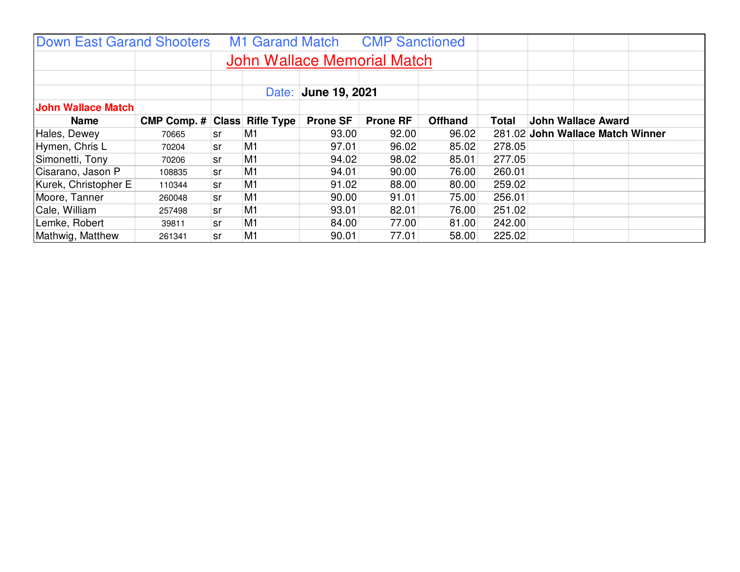| <b>Down East Garand Shooters</b> |                                     |    | <b>M1 Garand Match</b>             |                 | <b>CMP Sanctioned</b> |                |              |                                  |
|----------------------------------|-------------------------------------|----|------------------------------------|-----------------|-----------------------|----------------|--------------|----------------------------------|
|                                  |                                     |    | <b>John Wallace Memorial Match</b> |                 |                       |                |              |                                  |
|                                  |                                     |    | Date:                              | June 19, 2021   |                       |                |              |                                  |
| <b>John Wallace Match</b>        |                                     |    |                                    |                 |                       |                |              |                                  |
| Name                             | <b>CMP Comp. # Class Rifle Type</b> |    |                                    | <b>Prone SF</b> | <b>Prone RF</b>       | <b>Offhand</b> | <b>Total</b> | <b>John Wallace Award</b>        |
| Hales, Dewey                     | 70665                               | sr | M1                                 | 93.00           | 92.00                 | 96.02          |              | 281.02 John Wallace Match Winner |
| Hymen, Chris L                   | 70204                               | sr | M <sub>1</sub>                     | 97.01           | 96.02                 | 85.02          | 278.05       |                                  |
| Simonetti, Tony                  | 70206                               | sr | M <sub>1</sub>                     | 94.02           | 98.02                 | 85.01          | 277.05       |                                  |
| Cisarano, Jason P                | 108835                              | sr | M <sub>1</sub>                     | 94.01           | 90.00                 | 76.00          | 260.01       |                                  |
| Kurek, Christopher E             | 110344                              | sr | M1                                 | 91.02           | 88.00                 | 80.00          | 259.02       |                                  |
| Moore, Tanner                    | 260048                              | sr | M <sub>1</sub>                     | 90.00           | 91.01                 | 75.00          | 256.01       |                                  |
| Cale, William                    | 257498                              | sr | M1                                 | 93.01           | 82.01                 | 76.00          | 251.02       |                                  |
| Lemke, Robert                    | 39811                               | sr | M <sub>1</sub>                     | 84.00           | 77.00                 | 81.00          | 242.00       |                                  |
| Mathwig, Matthew                 | 261341                              | sr | M <sub>1</sub>                     | 90.01           | 77.01                 | 58.00          | 225.02       |                                  |